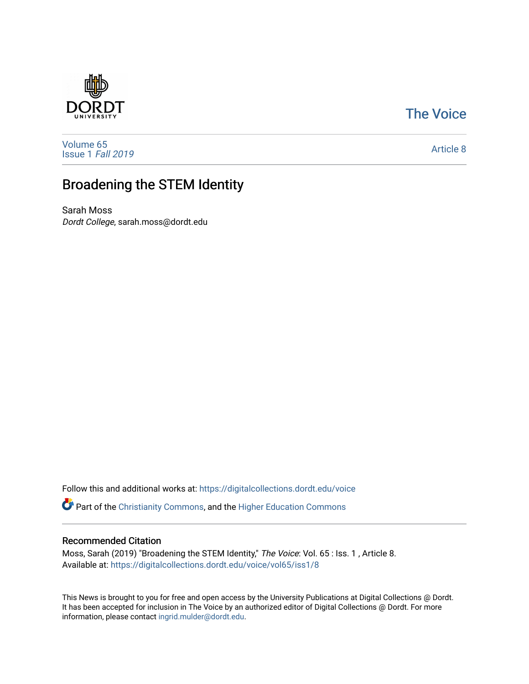## [The Voice](https://digitalcollections.dordt.edu/voice)

[Volume 65](https://digitalcollections.dordt.edu/voice/vol65) [Issue 1](https://digitalcollections.dordt.edu/voice/vol65/iss1) Fall 2019

[Article 8](https://digitalcollections.dordt.edu/voice/vol65/iss1/8) 

# Broadening the STEM Identity

Sarah Moss Dordt College, sarah.moss@dordt.edu

Follow this and additional works at: [https://digitalcollections.dordt.edu/voice](https://digitalcollections.dordt.edu/voice?utm_source=digitalcollections.dordt.edu%2Fvoice%2Fvol65%2Fiss1%2F8&utm_medium=PDF&utm_campaign=PDFCoverPages) 

Part of the [Christianity Commons,](http://network.bepress.com/hgg/discipline/1181?utm_source=digitalcollections.dordt.edu%2Fvoice%2Fvol65%2Fiss1%2F8&utm_medium=PDF&utm_campaign=PDFCoverPages) and the [Higher Education Commons](http://network.bepress.com/hgg/discipline/1245?utm_source=digitalcollections.dordt.edu%2Fvoice%2Fvol65%2Fiss1%2F8&utm_medium=PDF&utm_campaign=PDFCoverPages) 

### Recommended Citation

Moss, Sarah (2019) "Broadening the STEM Identity," The Voice: Vol. 65 : Iss. 1 , Article 8. Available at: [https://digitalcollections.dordt.edu/voice/vol65/iss1/8](https://digitalcollections.dordt.edu/voice/vol65/iss1/8?utm_source=digitalcollections.dordt.edu%2Fvoice%2Fvol65%2Fiss1%2F8&utm_medium=PDF&utm_campaign=PDFCoverPages)

This News is brought to you for free and open access by the University Publications at Digital Collections @ Dordt. It has been accepted for inclusion in The Voice by an authorized editor of Digital Collections @ Dordt. For more information, please contact [ingrid.mulder@dordt.edu.](mailto:ingrid.mulder@dordt.edu)